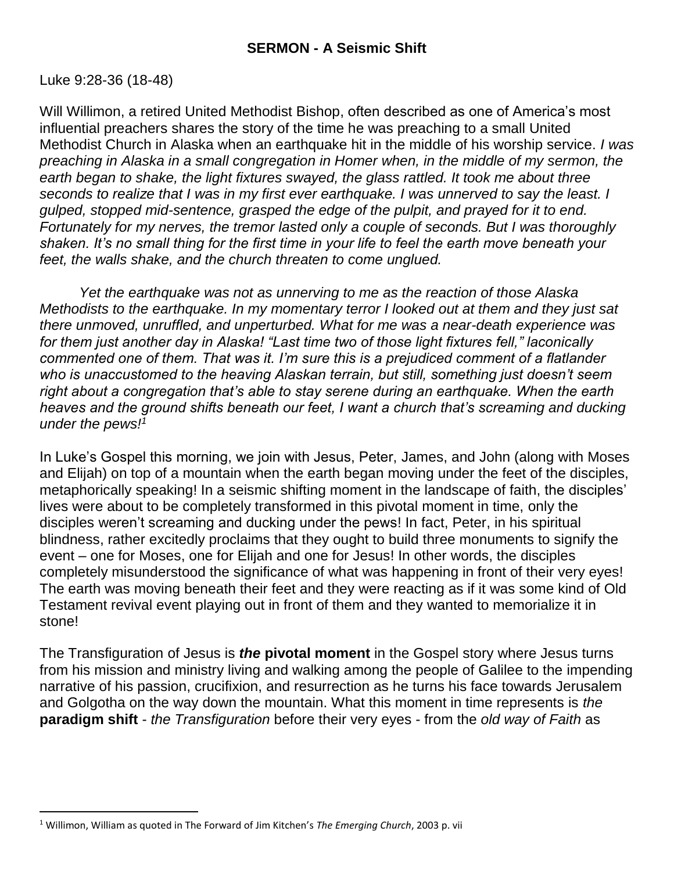### Luke 9:28-36 (18-48)

 $\overline{a}$ 

Will Willimon, a retired United Methodist Bishop, often described as one of America's most influential preachers shares the story of the time he was preaching to a small United Methodist Church in Alaska when an earthquake hit in the middle of his worship service. *I was preaching in Alaska in a small congregation in Homer when, in the middle of my sermon, the earth began to shake, the light fixtures swayed, the glass rattled. It took me about three seconds to realize that I was in my first ever earthquake. I was unnerved to say the least. I gulped, stopped mid-sentence, grasped the edge of the pulpit, and prayed for it to end. Fortunately for my nerves, the tremor lasted only a couple of seconds. But I was thoroughly shaken. It's no small thing for the first time in your life to feel the earth move beneath your feet, the walls shake, and the church threaten to come unglued.*

*Yet the earthquake was not as unnerving to me as the reaction of those Alaska Methodists to the earthquake. In my momentary terror I looked out at them and they just sat there unmoved, unruffled, and unperturbed. What for me was a near-death experience was for them just another day in Alaska! "Last time two of those light fixtures fell," laconically commented one of them. That was it. I'm sure this is a prejudiced comment of a flatlander who is unaccustomed to the heaving Alaskan terrain, but still, something just doesn't seem right about a congregation that's able to stay serene during an earthquake. When the earth heaves and the ground shifts beneath our feet, I want a church that's screaming and ducking under the pews!<sup>1</sup>*

In Luke's Gospel this morning, we join with Jesus, Peter, James, and John (along with Moses and Elijah) on top of a mountain when the earth began moving under the feet of the disciples, metaphorically speaking! In a seismic shifting moment in the landscape of faith, the disciples' lives were about to be completely transformed in this pivotal moment in time, only the disciples weren't screaming and ducking under the pews! In fact, Peter, in his spiritual blindness, rather excitedly proclaims that they ought to build three monuments to signify the event – one for Moses, one for Elijah and one for Jesus! In other words, the disciples completely misunderstood the significance of what was happening in front of their very eyes! The earth was moving beneath their feet and they were reacting as if it was some kind of Old Testament revival event playing out in front of them and they wanted to memorialize it in stone!

The Transfiguration of Jesus is *the* **pivotal moment** in the Gospel story where Jesus turns from his mission and ministry living and walking among the people of Galilee to the impending narrative of his passion, crucifixion, and resurrection as he turns his face towards Jerusalem and Golgotha on the way down the mountain. What this moment in time represents is *the* **paradigm shift** - *the Transfiguration* before their very eyes - from the *old way of Faith* as

<sup>1</sup> Willimon, William as quoted in The Forward of Jim Kitchen's *The Emerging Church*, 2003 p. vii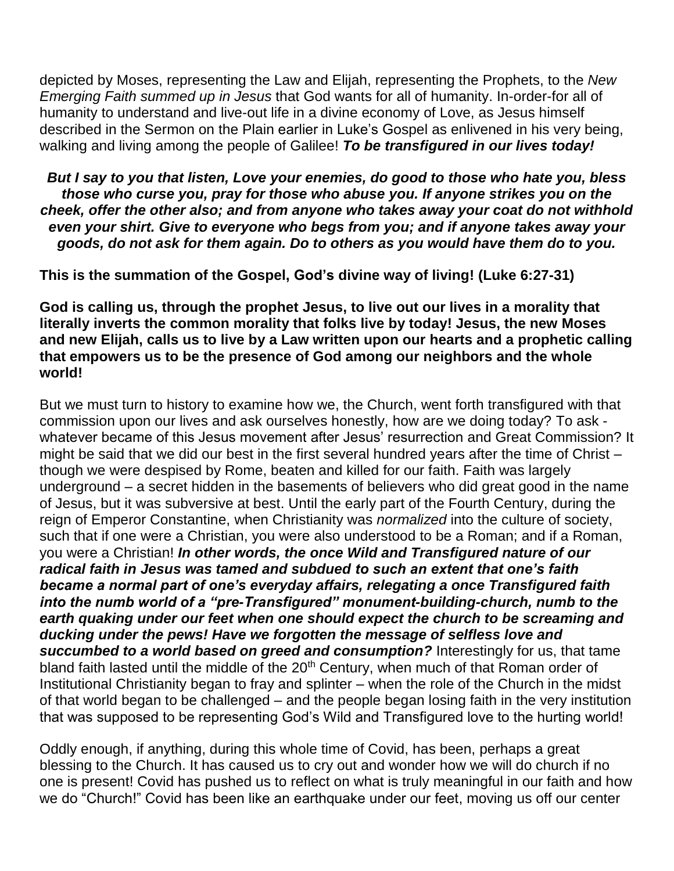depicted by Moses, representing the Law and Elijah, representing the Prophets, to the *New Emerging Faith summed up in Jesus* that God wants for all of humanity. In-order-for all of humanity to understand and live-out life in a divine economy of Love, as Jesus himself described in the Sermon on the Plain earlier in Luke's Gospel as enlivened in his very being, walking and living among the people of Galilee! *To be transfigured in our lives today!*

*But I say to you that listen, Love your enemies, do good to those who hate you, bless those who curse you, pray for those who abuse you. If anyone strikes you on the cheek, offer the other also; and from anyone who takes away your coat do not withhold even your shirt. Give to everyone who begs from you; and if anyone takes away your goods, do not ask for them again. Do to others as you would have them do to you.*

**This is the summation of the Gospel, God's divine way of living! (Luke 6:27-31)**

**God is calling us, through the prophet Jesus, to live out our lives in a morality that literally inverts the common morality that folks live by today! Jesus, the new Moses and new Elijah, calls us to live by a Law written upon our hearts and a prophetic calling that empowers us to be the presence of God among our neighbors and the whole world!**

But we must turn to history to examine how we, the Church, went forth transfigured with that commission upon our lives and ask ourselves honestly, how are we doing today? To ask whatever became of this Jesus movement after Jesus' resurrection and Great Commission? It might be said that we did our best in the first several hundred years after the time of Christ – though we were despised by Rome, beaten and killed for our faith. Faith was largely underground – a secret hidden in the basements of believers who did great good in the name of Jesus, but it was subversive at best. Until the early part of the Fourth Century, during the reign of Emperor Constantine, when Christianity was *normalized* into the culture of society, such that if one were a Christian, you were also understood to be a Roman; and if a Roman, you were a Christian! *In other words, the once Wild and Transfigured nature of our radical faith in Jesus was tamed and subdued to such an extent that one's faith became a normal part of one's everyday affairs, relegating a once Transfigured faith into the numb world of a "pre-Transfigured" monument-building-church, numb to the earth quaking under our feet when one should expect the church to be screaming and ducking under the pews! Have we forgotten the message of selfless love and succumbed to a world based on greed and consumption?* Interestingly for us, that tame bland faith lasted until the middle of the 20<sup>th</sup> Century, when much of that Roman order of Institutional Christianity began to fray and splinter – when the role of the Church in the midst of that world began to be challenged – and the people began losing faith in the very institution that was supposed to be representing God's Wild and Transfigured love to the hurting world!

Oddly enough, if anything, during this whole time of Covid, has been, perhaps a great blessing to the Church. It has caused us to cry out and wonder how we will do church if no one is present! Covid has pushed us to reflect on what is truly meaningful in our faith and how we do "Church!" Covid has been like an earthquake under our feet, moving us off our center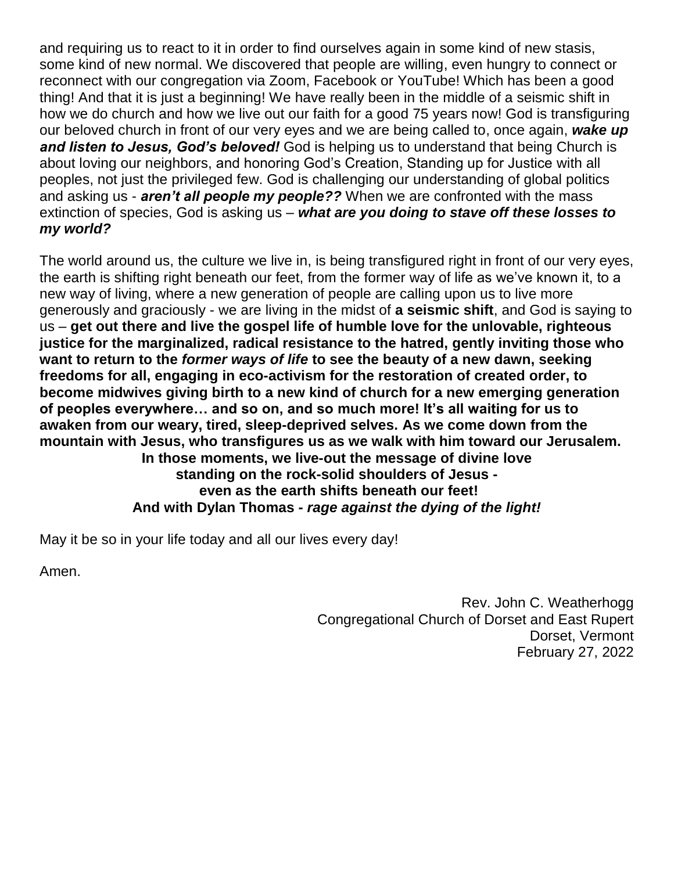and requiring us to react to it in order to find ourselves again in some kind of new stasis, some kind of new normal. We discovered that people are willing, even hungry to connect or reconnect with our congregation via Zoom, Facebook or YouTube! Which has been a good thing! And that it is just a beginning! We have really been in the middle of a seismic shift in how we do church and how we live out our faith for a good 75 years now! God is transfiguring our beloved church in front of our very eyes and we are being called to, once again, *wake up and listen to Jesus, God's beloved!* God is helping us to understand that being Church is about loving our neighbors, and honoring God's Creation, Standing up for Justice with all peoples, not just the privileged few. God is challenging our understanding of global politics and asking us - *aren't all people my people??* When we are confronted with the mass extinction of species, God is asking us – *what are you doing to stave off these losses to my world?*

The world around us, the culture we live in, is being transfigured right in front of our very eyes, the earth is shifting right beneath our feet, from the former way of life as we've known it, to a new way of living, where a new generation of people are calling upon us to live more generously and graciously - we are living in the midst of **a seismic shift**, and God is saying to us – **get out there and live the gospel life of humble love for the unlovable, righteous justice for the marginalized, radical resistance to the hatred, gently inviting those who want to return to the** *former ways of life* **to see the beauty of a new dawn, seeking freedoms for all, engaging in eco-activism for the restoration of created order, to become midwives giving birth to a new kind of church for a new emerging generation of peoples everywhere… and so on, and so much more! It's all waiting for us to awaken from our weary, tired, sleep-deprived selves. As we come down from the mountain with Jesus, who transfigures us as we walk with him toward our Jerusalem. In those moments, we live-out the message of divine love standing on the rock-solid shoulders of Jesus even as the earth shifts beneath our feet! And with Dylan Thomas -** *rage against the dying of the light!*

May it be so in your life today and all our lives every day!

Amen.

Rev. John C. Weatherhogg Congregational Church of Dorset and East Rupert Dorset, Vermont February 27, 2022